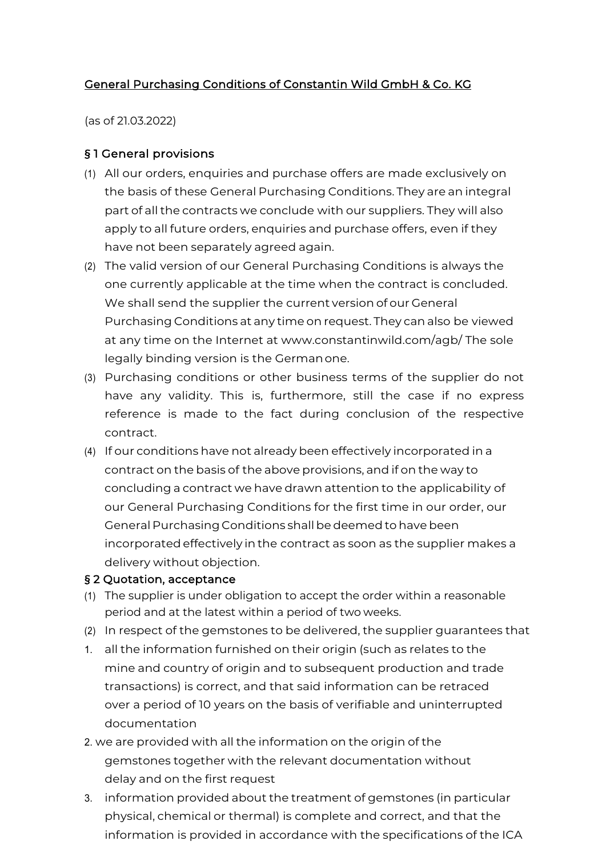### General Purchasing Conditions of Constantin Wild GmbH & Co. KG

(as of 21.03.2022)

#### § 1 General provisions

- (1) All our orders, enquiries and purchase offers are made exclusively on the basis of these General Purchasing Conditions. They are an integral part of all the contracts we conclude with our suppliers. They will also apply to all future orders, enquiries and purchase offers, even if they have not been separately agreed again.
- (2) The valid version of our General Purchasing Conditions is always the one currently applicable at the time when the contract is concluded. We shall send the supplier the current version of our General Purchasing Conditions at any time on request. They can also be viewed at any time on the Internet at www.constantinwild.com/agb/ The sole legally binding version is the Germanone.
- (3) Purchasing conditions or other business terms of the supplier do not have any validity. This is, furthermore, still the case if no express reference is made to the fact during conclusion of the respective contract.
- (4) If our conditions have not already been effectively incorporated in a contract on the basis of the above provisions, and if on the way to concluding a contract we have drawn attention to the applicability of our General Purchasing Conditions for the first time in our order, our General Purchasing Conditions shall be deemed to have been incorporatedeffectively in the contract as soon as the supplier makes a delivery without objection.

#### § 2 Quotation, acceptance

- (1) The supplier is under obligation to accept the order within a reasonable period and at the latest within a period of two weeks.
- (2) In respect of the gemstones to be delivered, the supplier guarantees that
- 1. all the information furnished on their origin (such as relates to the mine and country of origin and to subsequent production and trade transactions) is correct, and that said information can be retraced over a period of 10 years on the basis of verifiable and uninterrupted documentation
- 2. we are provided with all the information on the origin of the gemstones together with the relevant documentation without delay and on the first request
- 3. information provided about the treatment of gemstones (in particular physical, chemical or thermal) is complete and correct, and that the information is provided in accordance with the specifications of the ICA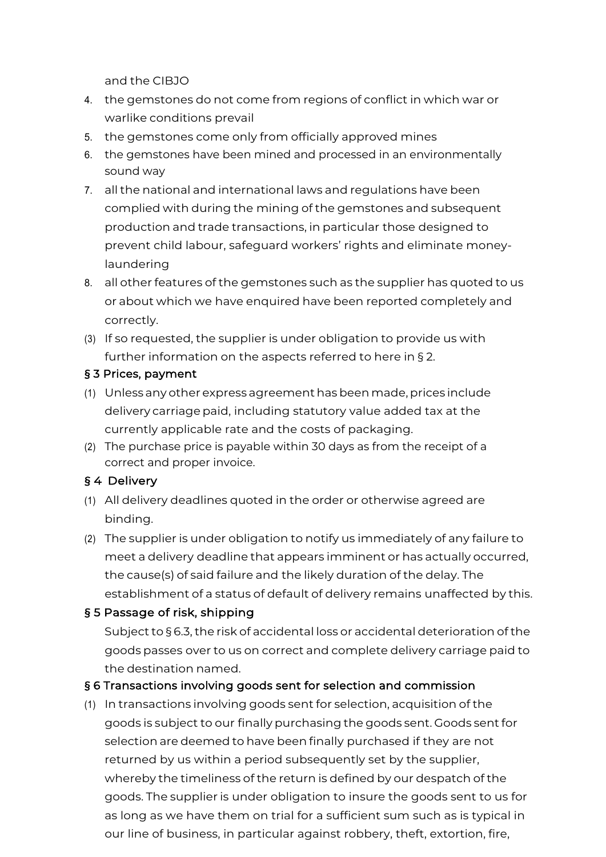and the CIBJO

- 4. the gemstones do not come from regions of conflict in which war or warlike conditions prevail
- 5. the gemstones come only from officially approved mines
- 6. the gemstones have been mined and processed in an environmentally sound way
- 7. all the national and international laws and regulations have been complied with during the mining of the gemstones and subsequent production and trade transactions, in particular those designed to prevent child labour, safeguard workers' rights and eliminate moneylaundering
- 8. all other features of the gemstones such as the supplier has quoted to us or about which we have enquired have been reported completely and correctly.
- (3) If so requested, the supplier is under obligation to provide us with further information on the aspects referred to here in § 2.

#### § 3 Prices, payment

- (1) Unless any other express agreement has been made, prices include delivery carriage paid, including statutory value added tax at the currently applicable rate and the costs of packaging.
- (2) The purchase price is payable within 30 days as from the receipt of a correct and proper invoice.

# § 4 Delivery

- (1) All delivery deadlines quoted in the order or otherwise agreed are binding.
- (2) The supplier is under obligation to notify us immediately of any failure to meet a delivery deadline that appears imminent or has actually occurred, the cause(s) of said failure and the likely duration of the delay. The establishment of a status of default of delivery remains unaffected by this.

# § 5 Passage of risk, shipping

Subject to § 6.3, the risk of accidental loss or accidental deterioration of the goods passes over to us on correct and complete delivery carriage paid to the destination named.

# § 6 Transactions involving goods sent for selection and commission

(1) In transactions involving goods sent for selection, acquisition of the goods is subject to our finally purchasing the goods sent. Goods sent for selection are deemed to have been finally purchased if they are not returned by us within a period subsequently set by the supplier, whereby the timeliness of the return is defined by our despatch of the goods. The supplier is under obligation to insure the goods sent to us for as long as we have them on trial for a sufficient sum such as is typical in our line of business, in particular against robbery, theft, extortion, fire,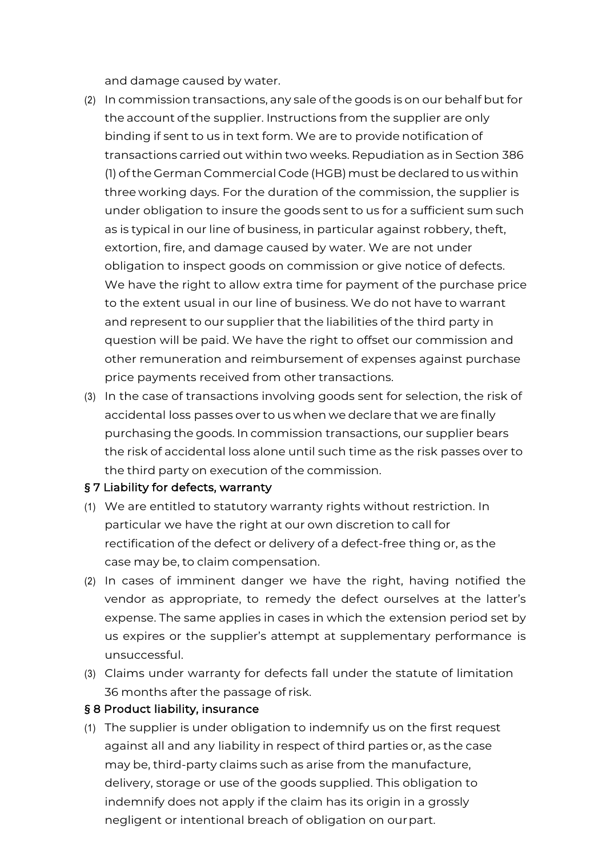and damage caused by water.

- (2) In commission transactions, any sale of the goods is on our behalf but for the account of the supplier. Instructions from the supplier are only binding if sent to us in text form. We are to provide notification of transactions carried out within two weeks. Repudiation as in Section 386 (1) of the German Commercial Code (HGB)must be declared to us within three working days. For the duration of the commission, the supplier is under obligation to insure the goods sent to us for a sufficient sum such as is typical in our line of business, in particular against robbery, theft, extortion, fire, and damage caused by water. We are not under obligation to inspect goods on commission or give notice of defects. We have the right to allow extra time for payment of the purchase price to the extent usual in our line of business. We do not have to warrant and represent to our supplier that the liabilities of the third party in question will be paid. We have the right to offset our commission and other remuneration and reimbursement of expenses against purchase price payments received from other transactions.
- (3) In the case of transactions involving goods sent for selection, the risk of accidental loss passes over to us when we declare that we are finally purchasing the goods. In commission transactions, our supplier bears the risk of accidental loss alone until such time as the risk passes over to the third party on execution of the commission.

#### § 7 Liability for defects, warranty

- (1) We are entitled to statutory warranty rights without restriction. In particular we have the right at our own discretion to call for rectification of the defect or delivery of a defect-free thing or, as the case may be, to claim compensation.
- (2) In cases of imminent danger we have the right, having notified the vendor as appropriate, to remedy the defect ourselves at the latter's expense. The same applies in cases in which the extension period set by us expires or the supplier's attempt at supplementary performance is unsuccessful.
- (3) Claims under warranty for defects fall under the statute of limitation 36 months after the passage of risk.

#### § 8 Product liability, insurance

(1) The supplier is under obligation to indemnify us on the first request against all and any liability in respect of third parties or, as the case may be, third-party claims such as arise from the manufacture, delivery, storage or use of the goods supplied. This obligation to indemnify does not apply if the claim has its origin in a grossly negligent or intentional breach of obligation on ourpart.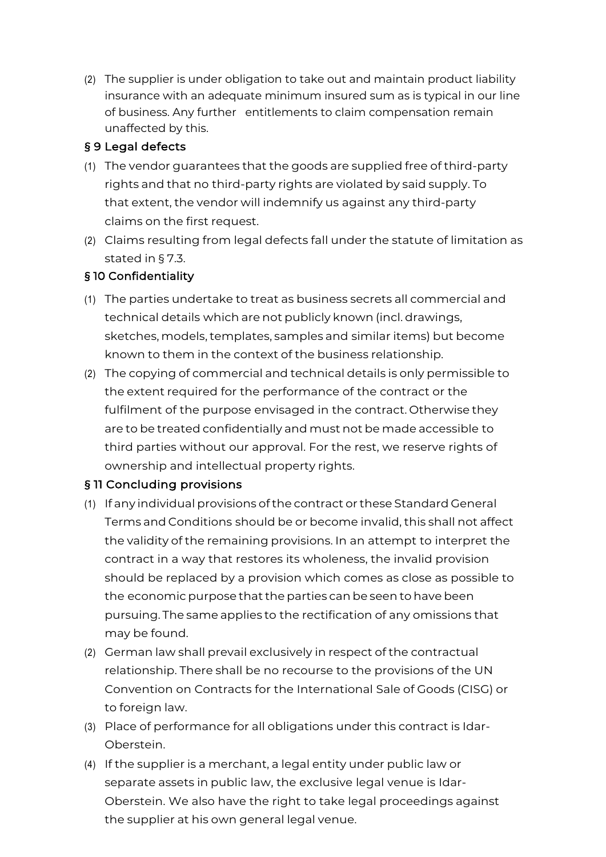(2) The supplier is under obligation to take out and maintain product liability insurance with an adequate minimum insured sum as is typical in our line of business. Any further entitlements to claim compensation remain unaffected by this.

### § 9 Legal defects

- (1) The vendor guarantees that the goods are supplied free of third-party rights and that no third-party rights are violated by said supply. To that extent, the vendor will indemnify us against any third-party claims on the first request.
- (2) Claims resulting from legal defects fall under the statute of limitation as stated in § 7.3.

# § 10 Confidentiality

- (1) The parties undertake to treat as business secrets all commercial and technical details which are not publicly known (incl. drawings, sketches, models, templates, samples and similar items) but become known to them in the context of the business relationship.
- (2) The copying of commercial and technical details is only permissible to the extent required for the performance of the contract or the fulfilment of the purpose envisaged in the contract. Otherwise they are to be treated confidentially and must not be made accessible to third parties without our approval. For the rest, we reserve rights of ownership and intellectual property rights.

# § 11 Concluding provisions

- (1) If any individual provisions of the contract or these Standard General Terms and Conditions should be or become invalid, this shall not affect the validity of the remaining provisions. In an attempt to interpret the contract in a way that restores its wholeness, the invalid provision should be replaced by a provision which comes as close as possible to the economic purpose that the parties can be seen to have been pursuing. The same applies to the rectification of any omissions that may be found.
- (2) German law shall prevail exclusively in respect of the contractual relationship. There shall be no recourse to the provisions of the UN Convention on Contracts for the International Sale of Goods (CISG) or to foreign law.
- (3) Place of performance for all obligations under this contract is Idar-Oberstein.
- (4) If the supplier is a merchant, a legal entity under public law or separate assets in public law, the exclusive legal venue is Idar-Oberstein. We also have the right to take legal proceedings against the supplier at his own general legal venue.